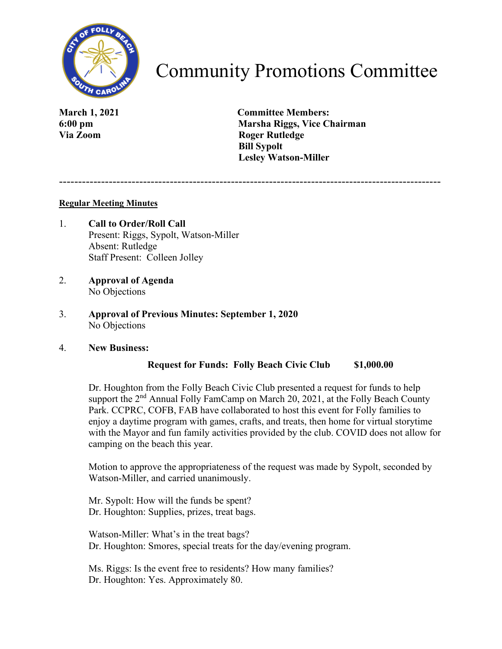

## Community Promotions Committee

**March 1, 2021 Committee Members: 6:00 pm Marsha Riggs, Vice Chairman Via Zoom** Roger Rutledge  **Bill Sypolt Lesley Watson-Miller**

----------------------------------------------------------------------------------------------------

## **Regular Meeting Minutes**

- 1. **Call to Order/Roll Call** Present: Riggs, Sypolt, Watson-Miller Absent: Rutledge Staff Present: Colleen Jolley
- 2. **Approval of Agenda**  No Objections
- 3. **Approval of Previous Minutes: September 1, 2020** No Objections
- 4. **New Business:**

## **Request for Funds: Folly Beach Civic Club \$1,000.00**

Dr. Houghton from the Folly Beach Civic Club presented a request for funds to help support the  $2<sup>nd</sup>$  Annual Folly FamCamp on March 20, 2021, at the Folly Beach County Park. CCPRC, COFB, FAB have collaborated to host this event for Folly families to enjoy a daytime program with games, crafts, and treats, then home for virtual storytime with the Mayor and fun family activities provided by the club. COVID does not allow for camping on the beach this year.

Motion to approve the appropriateness of the request was made by Sypolt, seconded by Watson-Miller, and carried unanimously.

Mr. Sypolt: How will the funds be spent? Dr. Houghton: Supplies, prizes, treat bags.

Watson-Miller: What's in the treat bags? Dr. Houghton: Smores, special treats for the day/evening program.

Ms. Riggs: Is the event free to residents? How many families? Dr. Houghton: Yes. Approximately 80.